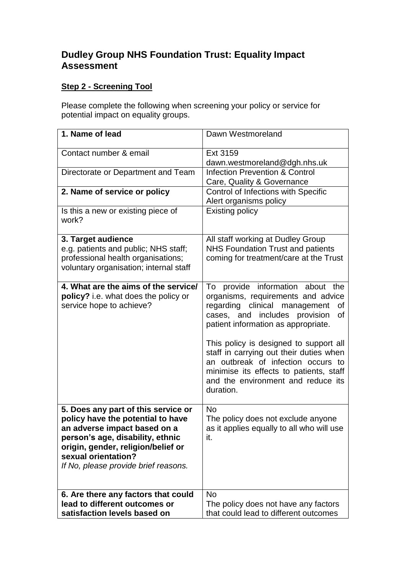# **Dudley Group NHS Foundation Trust: Equality Impact Assessment**

# **Step 2 - Screening Tool**

Please complete the following when screening your policy or service for potential impact on equality groups.

| 1. Name of lead                                                                                                                                                                                                                                   | Dawn Westmoreland                                                                                                                                                                                                                                                                                                                                                                                                       |
|---------------------------------------------------------------------------------------------------------------------------------------------------------------------------------------------------------------------------------------------------|-------------------------------------------------------------------------------------------------------------------------------------------------------------------------------------------------------------------------------------------------------------------------------------------------------------------------------------------------------------------------------------------------------------------------|
| Contact number & email                                                                                                                                                                                                                            | Ext 3159<br>dawn.westmoreland@dgh.nhs.uk                                                                                                                                                                                                                                                                                                                                                                                |
| Directorate or Department and Team                                                                                                                                                                                                                | <b>Infection Prevention &amp; Control</b><br>Care, Quality & Governance                                                                                                                                                                                                                                                                                                                                                 |
| 2. Name of service or policy                                                                                                                                                                                                                      | Control of Infections with Specific<br>Alert organisms policy                                                                                                                                                                                                                                                                                                                                                           |
| Is this a new or existing piece of<br>work?                                                                                                                                                                                                       | <b>Existing policy</b>                                                                                                                                                                                                                                                                                                                                                                                                  |
| 3. Target audience<br>e.g. patients and public; NHS staff;<br>professional health organisations;<br>voluntary organisation; internal staff                                                                                                        | All staff working at Dudley Group<br><b>NHS Foundation Trust and patients</b><br>coming for treatment/care at the Trust                                                                                                                                                                                                                                                                                                 |
| 4. What are the aims of the service/<br>policy? i.e. what does the policy or<br>service hope to achieve?                                                                                                                                          | provide information about the<br>To<br>organisms, requirements and advice<br>regarding clinical management<br>0f<br>cases, and includes provision<br>οf<br>patient information as appropriate.<br>This policy is designed to support all<br>staff in carrying out their duties when<br>an outbreak of infection occurs to<br>minimise its effects to patients, staff<br>and the environment and reduce its<br>duration. |
| 5. Does any part of this service or<br>policy have the potential to have<br>an adverse impact based on a<br>person's age, disability, ethnic<br>origin, gender, religion/belief or<br>sexual orientation?<br>If No, please provide brief reasons. | <b>No</b><br>The policy does not exclude anyone<br>as it applies equally to all who will use<br>it.                                                                                                                                                                                                                                                                                                                     |
| 6. Are there any factors that could<br>lead to different outcomes or<br>satisfaction levels based on                                                                                                                                              | <b>No</b><br>The policy does not have any factors<br>that could lead to different outcomes                                                                                                                                                                                                                                                                                                                              |